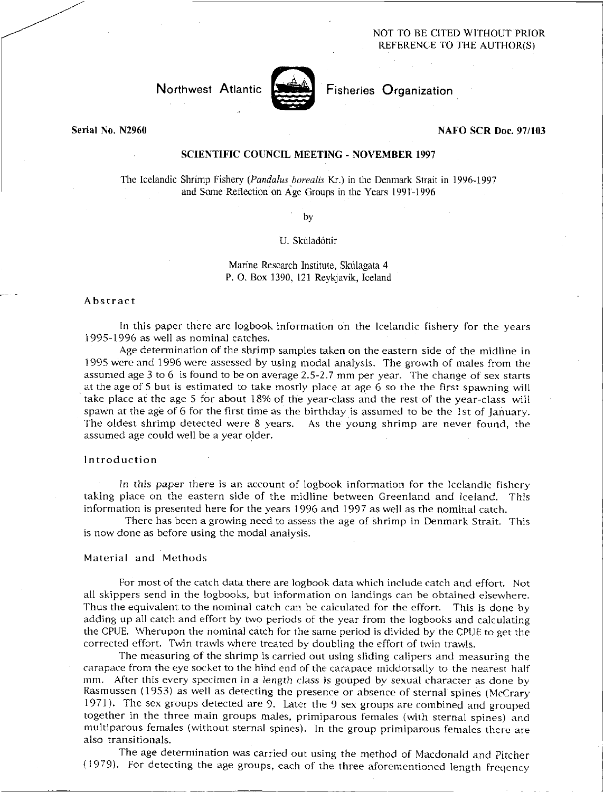## NOT TO BE CITED WITHOUT PRIOR REFERENCE TO THE AUTHOR(S)

# Northwest Atlantic



Fisheries Organization

Serial No. N2960

## NAFO SCR Doc. 97/103

# SCIENTIFIC COUNCIL MEETING - NOVEMBER 1997

The Icelandic Shrimp Fishery *(Pandahis borealis* Kr.) in the Denmark Strait in 1996-1997 and Some Reflection on Age Groups in the Years 1991-1996

by

## U. Skúladóttir

Marine Research Institute, Skúlagata 4 P. 0. Box 1390, 121 Reykjavik, Iceland

#### Abstract

In this paper there are logbook information on the Icelandic fishery for the years 1995-1996 as well as nominal catches.

Age determination of the shrimp samples taken on the eastern side of the midline in 1995 were and 1996 were assessed by using modal analysis. The growth of males from the assumed age 3 to 6 is found to be on average 2.5-2.7 mm per year. The change of sex starts at the age of 5 but is estimated to take mostly place at age 6 so the the first spawning will take place at the age 5 for about 18% of the year-class and the rest of the year-class will spawn at the age of 6 for the first time as the birthday is assumed to be the 1st of January. The oldest shrimp detected were 8 years. As the young shrimp are never found, the assumed age could well be a year older.

## Introduction

In this paper there is an account of logbook information for the Icelandic fishery taking place on the eastern side of the midline between Greenland and Iceland. This information is presented here for the years 1996 and 1997 as well as the nominal catch.

There has been a growing need to assess the age of shrimp in Denmark Strait. This is now done as before using the modal analysis.

### Material and Methods

For most of the catch data there are logbook data which include catch and effort. Not all skippers send in the logbooks, but information on landings can be obtained elsewhere. Thus the equivalent to the nominal catch can be calculated for the effort. This is done by adding up all catch and effort by two periods of the year from the logbooks and calculating the CPUE. Wherupon the nominal catch for the same period is divided by the CPUE to get the corrected effort. Twin trawls where treated by doubling the effort of twin trawls.

The measuring of the shrimp is carried out using sliding calipers and measuring the carapace from the eye socket to the hind end of the carapace middorsally to the nearest half mm. After this every specimen in a length *class is* gouped by sexual character as done by Rasmussen (1953) as well as detecting the presence or absence of sternal spines (McCrary 1971). The sex groups detected are 9. Later the 9 sex groups are combined and grouped together in the three main groups males, primiparous females (with sternal spines) and multiparous females (without sternal spines). In the group primiparous females there are also transitionals.

The age determination was carried out using the method of Macdonald and Pitcher (1979). For detecting the age groups, each of the three aforementioned length freqency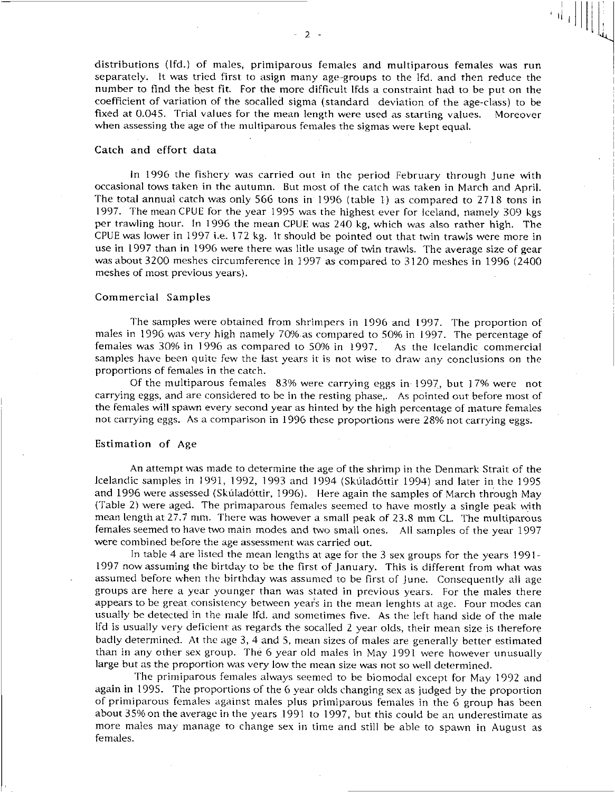distributions (lfd.) of males, primiparous females and multiparous females was run separately. It was tried first to asign many age-groups to the lfd. and then reduce the number to find the best fit. For the more difficult lfds a constraint had to be put on the coefficient of variation of the socalled sigma (standard deviation of the age-class) to be fixed at 0.045. Trial values for the mean length were used as starting values. Moreover when assessing the age of the multiparous females the sigmas were kept equal.

#### Catch and effort data

In 1996 the fishery was carried out in the period February through June with occasional tows taken in the autumn. But most of the catch was taken in March and April. The total annual catch was only 566 tons in 1996 (table 1) as compared to 2718 tons in 1997. The mean CPUE for the year 1995 was the highest ever for Iceland, namely 309 kgs per trawling hour. In 1996 the mean CPUE was 240 kg, which was also rather high. The CPUE was lower in 1997 i.e. 172 kg. It should be pointed out that twin trawls were more in use in 1997 than in 1996 were there was litle usage of twin trawls. The average size of gear was about 3200 meshes circumference in 1997 as compared to 3120 meshes in 1996 (2400 meshes of most previous years).

## Commercial Samples

The samples were obtained from shrimpers in 1996 and 1997. The proportion of males in 1996 was very high namely 70% as compared to 50% in 1997. The percentage of females was 30% in 1996 as compared to 50% in 1997. As the Icelandic commercial samples have been quite few the last years it is not wise to draw any conclusions on the proportions of females in the catch.

Of the multiparous females 83% were carrying eggs in 1997, but 17% were not carrying eggs, and are considered to be in the resting phase,. As pointed out before most of the Females will spawn every second year as hinted by the high percentage of mature females not carrying eggs. As a comparison in 1996 these proportions were 28% not carrying eggs.

#### Estimation of Age

An attempt was made to determine the age of the shrimp in the Denmark Strait of the Icelandic samples in 1991, 1992, 1993 and 1994 (Skúladóttir 1994) and later in the 1995 and 1996 were assessed (Skúladóttir, 1996). Here again the samples of March through May (Table 2) were aged. The primaparous females seemed to have mostly a single peak with mean length at 27.7 mm. There was however a small peak of 23.8 mm CL. The multiparous females seemed to have two main modes and two small ones. All samples of the year 1997 were combined before the age assessment was carried out.

In table 4 are listed the mean lengths at age for the 3 sex groups for the years 1991- 1997 now assuming the birtday to be the first of January. This is different from what was assumed before when the birthday was assumed to be first of June. Consequently all age groups are here a year younger than was stated in previous years. For the males there appears to be great consistency between year's in the mean lenghts at age. Four modes can usually be detected in the male Ifd. and sometimes five. As the left hand side of the male lfd is usually very deficient as regards the socalled 2 year olds, their mean size is therefore badly determined. At the age 3, 4 and 5, mean sizes of males are generally better estimated than in any other sex group. The 6 year old males in May 1991 were however unusually large but as the proportion was very low the mean size was not so well determined.

The primiparous females always seemed to be biomodal except for May 1992 and again in 1995. The proportions of the 6 year olds changing sex as judged by the proportion of primiparous females against males plus primiparous females in the 6 group has been about 35% on the average in the years 1991 to 1997, but this could be an underestimate as more males may manage to change sex in time and still be able to spawn in August as females.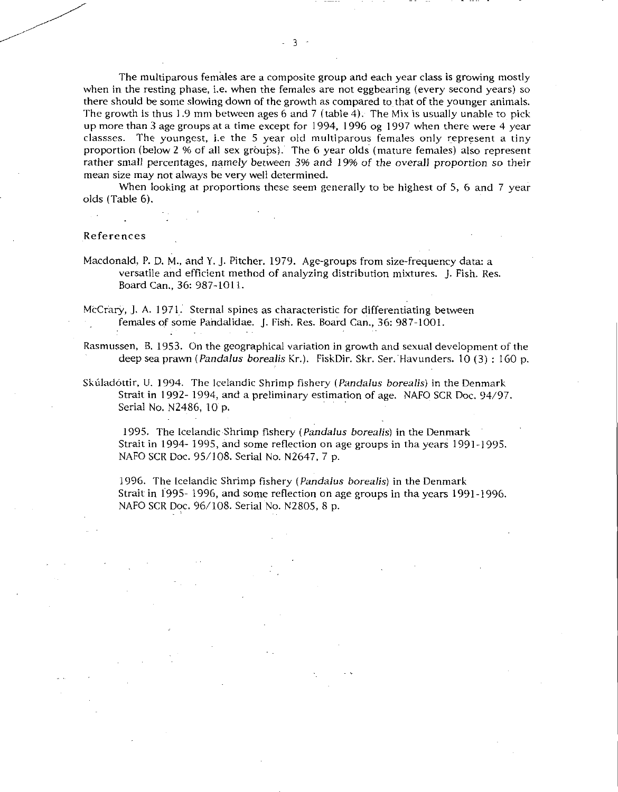The multiparous females are a composite group and each year class is growing mostly when in the resting phase, i.e. when the females are not eggbearing (every second years) so there should be some slowing down of the growth as compared to that of the younger animals. The growth is thus 1.9 mm between ages 6 and 7 (table 4). The Mix is usually unable to pick up more than 3 age groups at a time except for 1994, 1996 og 1997 when there were 4 year classses. The youngest, i.e the 5 year old multiparous females only represent a tiny proportion (below 2 % of all sex groups). The 6 year olds (mature females) also represent rather small percentages, namely between 396 *and* 19% *of* the overall proportion so their mean size may not always be very well determined.

When looking at proportions these seem generally to be highest of 5, 6 and 7 year olds (Table 6).

### References

Macdonald, P. D. M., and Y. J. Pitcher. 1979. Age-groups from size-frequency data: a versatile and efficient method of analyzing distribution mixtures. J. Fish. Res. Board Can., 36: 987-1011.

McCrary, J. A. 1971. Sternal spines as characteristic for differentiating between females of some Pandalidae. J. Fish. Res. Board Can., 36: 987-1001.

Rasmussen, B. 1953. On the geographical variation in growth and sexual development of the deep sea prawn *(Pandalus borealis* Kr.). FiskDir. Skr. Ser. Havunders. 10 (3) : 160 p.

Skúladóttir, U. 1994. The Icelandic Shrimp fishery *(Pandalus borealis)* in the Denmark Strait in 1992- 1994, and a preliminary estimation of age. NAFO SCR Doc. 94/97. Serial No. N2486, 10 p.

1995. The Icelandic Shrimp fishery *(Pandalus borealis)* in the Denmark Strait in 1994- 1995, and some reflection on age groups in tha years 1991-1995. NAFO SCR Doc. 95/108. Serial No. N2647, 7 p.

1996. The Icelandic Shrimp fishery *(Pandalus borealis)* in the Denmark Strait in 1995- 1996, and some reflection on age groups in tha years 1991-1996. NAFO SCR Doc. 96/108. Serial No. N2805, 8 P.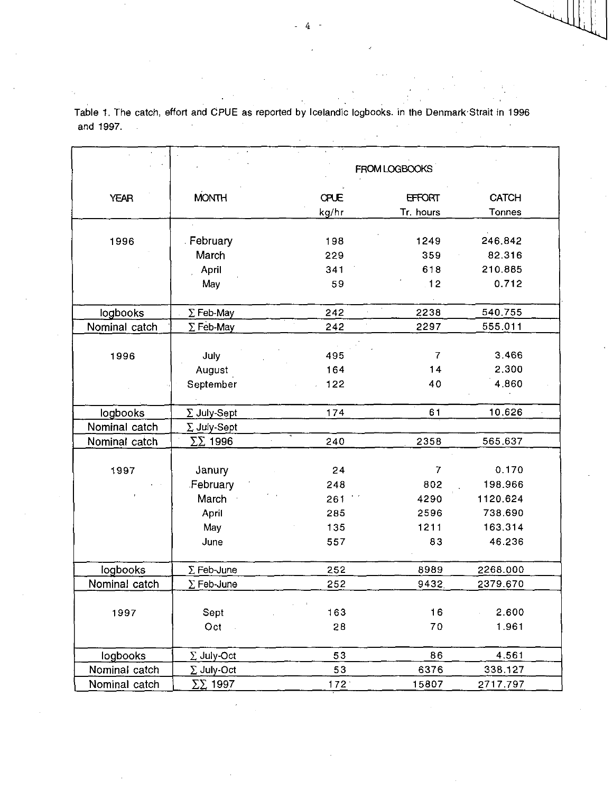|               |                     |       | FROM LOGBOOKS  |               |  |
|---------------|---------------------|-------|----------------|---------------|--|
|               |                     |       |                |               |  |
| <b>YEAR</b>   | <b>MONTH</b>        | CPUE  | <b>EFFORT</b>  | <b>CATCH</b>  |  |
|               |                     | kg/hr | Tr. hours      | <b>Tonnes</b> |  |
| 1996          |                     | 198   | 1249           | 246.842       |  |
|               | February            |       |                |               |  |
|               | March               | 229   | 359            | 82.316        |  |
|               | April               | 341   | 618            | 210.885       |  |
|               | May                 | 59    | 12             | 0.712         |  |
| logbooks      | $\Sigma$ Feb-May    | 242   | 2238           | 540.755       |  |
| Nominal catch | $\Sigma$ Feb-May    | 242   | 2297           | 555.011       |  |
|               |                     |       |                |               |  |
| 1996          | July                | 495   | $\overline{7}$ | 3.466         |  |
|               | August              | 164   | 14             | 2.300         |  |
|               | September           | 122   | 40             | 4.860         |  |
|               |                     |       |                |               |  |
| logbooks      | $\Sigma$ July-Sept  | 174   | 61             | 10.626        |  |
| Nominal catch | $\Sigma$ July-Sept  |       |                |               |  |
| Nominal catch | $\Sigma\Sigma$ 1996 | 240   | 2358           | 565.637       |  |
|               |                     |       |                |               |  |
| 1997          | Janury              | 24    | 7              | 0.170         |  |
|               | February            | 248   | 802            | 198.966       |  |
|               | March               | 261   | 4290           | 1120.624      |  |
|               | April               | 285   | 2596           | 738.690       |  |
|               | May                 | 135   | 1211           | 163.314       |  |
|               | June                | 557   | 83             | 46.236        |  |
|               |                     |       |                |               |  |
| logbooks      | $\Sigma$ Feb-June   | 252   | 8989           | 2268.000      |  |
| Nominal catch | $\Sigma$ Feb-June   | 252   | 9432           | 2379.670      |  |
|               |                     |       |                |               |  |
| 1997          | Sept                | 163   | 16             | 2.600         |  |
|               | Oct                 | 28    | 70             | 1.961         |  |
|               |                     |       |                |               |  |
| logbooks      | $\Sigma$ July-Oct   | 53    | 86             | 4.561         |  |
| Nominal catch | $\Sigma$ July-Oct   | 53    | 6376           | 338.127       |  |
| Nominal catch | $\Sigma\Sigma$ 1997 | 172.  | 15807          | 2717.797      |  |

Table 1. The catch, effort and CPUE as reported by Icelandic logbooks. in the Denmark Strait in 1996 and 1997.  $\sim 10$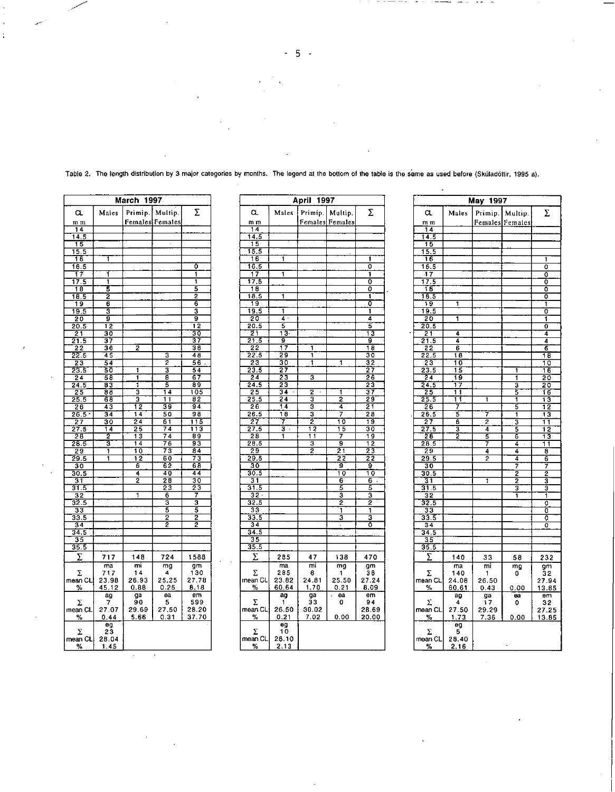**March 1997**  $\Sigma$  $\alpha$ Males Primip. Multip.  $m<sub>m</sub>$ Females Females  $\overline{14}$  $\frac{14.5}{15}$ <br>15.5  $\overline{16}$ T  $\frac{16.5}{17}$  $\overline{\circ}$ Ŧ ₹  $\frac{17.5}{18}$ ┱ T  $\frac{5}{2}$ 5  $\frac{18.5}{19}$ 7  $\overline{6}$  $\overline{6}$  $19.5$  $\overline{\mathbf{a}}$  $\frac{20}{20.5}$ ड़ ŤZ  $\begin{array}{r} 24 \overline{)21.5} \\ \hline 21.5 \\ \overline{)22.5} \\ \overline{)23.5} \\ \overline{)24.5} \\ \overline{)24.5} \\ \end{array}$  $\begin{array}{r} \n \overline{30} \\
 \overline{37} \\
 \overline{38} \\
 \overline{48} \\
 \overline{56} \\
 \overline{54} \\
 \overline{67} \\
 \overline{89} \\
 \overline{105} \\
 \end{array}$  $\overline{z}$ З 2  $\overline{\mathbf{1}}$ 3 롷 구  $\frac{24.5}{25}$ 3 14  $\begin{array}{r} 25 \\ \hline 25.5 \\ \hline 26 \\ \hline 26.5 \\ \hline 27 \\ \hline \end{array}$  $\frac{182}{94}$ 3 11  $\begin{array}{r} 12 \\ \hline 14 \\ \hline 24 \\ \hline 25 \\ \hline 13 \end{array}$  $\frac{\frac{1}{39}}{\frac{50}{74}}$  $\begin{array}{r} \frac{94}{98} \\ \hline 115 \\ \hline 113 \\ \hline 89 \\ \hline 93 \\ \hline 73 \\ \end{array}$  $\frac{34}{30}$  $27.5$  $\frac{2}{3}$  $\begin{array}{r} 28 \\ 28.5 \\ 29.5 \\ \hline 29.5 \\ \hline 30.5 \\ \hline 31.5 \\ \hline 31.5 \\ \hline 32.5 \\ \hline 32.5 \\ \hline 33 \\ \hline 32.5 \\ \hline \end{array}$  $\begin{array}{r} \n 76 \\
 \hline\n 76 \\
 \hline\n 73 \\
 \hline\n 60 \\
 \hline\n 62 \\
 \hline\n 40\n \end{array}$  $\overline{14}$  $\frac{10}{12}$  $\frac{1}{1}$  $\overline{68}$  $\overline{6}$ 4  $44$  $\frac{28}{23}$  $\overline{2}$  $\frac{1}{30}$  $\overline{1}$  $\frac{6}{3}$ 3  $\overline{5}$  $\begin{array}{r} \n 33 \\
 \hline\n 33.5 \\
 \hline\n 34.5 \\
 \hline\n 35 \\
 \hline\n 35.5\n \end{array}$  $\frac{2}{2}$  $\frac{2}{2}$  $\Sigma$  $717$ 148 724 1588  $\frac{mg}{mg}$ <br>25.25<br>0.25  $\begin{array}{c} \n 130 \\
 \hline\n 30 \\
 27.78 \\
 8.18\n \end{array}$  $\frac{m}{14}$  $\frac{ma}{717}$  $\bar{\Sigma}$  $\frac{1}{\%}$  CL 23.98  $26.93$ <br> $0.88$  $\frac{a}{5}$ <br>27.50  $\overline{em}$  $\frac{ag}{7}$  $\frac{g}{90}$  $\bar{\Sigma}$ 599  $29.69$ <br>5.66  $|\textsf{mean CL}|$ 27.07 28.20  $%$  $0.44$  $0.31$ 37.70  $rac{eg}{23}$  $\bar{\Sigma}$  $\begin{array}{|c|c|c|}\n\hline\nmean CL & 28.04 \\
\hline\n% & 1.45 \\
\hline\n\end{array}$ 

 $\ddot{\phantom{0}}$ 

 $\ddot{\phantom{a}}$ 

 $\ddot{\cdot}$ 

| April<br>1997     |                           |                         |                 |                          |  |  |  |
|-------------------|---------------------------|-------------------------|-----------------|--------------------------|--|--|--|
| α                 | Males                     | Primip.                 | Multip.         | Σ                        |  |  |  |
| m m               |                           |                         | Females Females |                          |  |  |  |
| 14                |                           |                         |                 |                          |  |  |  |
| 14.5              |                           |                         |                 |                          |  |  |  |
| $\overline{15}$   |                           |                         |                 |                          |  |  |  |
| T5.5              |                           |                         |                 |                          |  |  |  |
| 16                | ī                         |                         |                 | Ŧ                        |  |  |  |
| 16.5              |                           |                         |                 | 0                        |  |  |  |
| $\overline{17}$   | 1                         |                         |                 | 1                        |  |  |  |
| 17.5              |                           |                         |                 | ō                        |  |  |  |
| 18                |                           |                         |                 | ō                        |  |  |  |
| 18.5              | ī                         |                         |                 | ī                        |  |  |  |
| 19<br>19.5        | 1                         |                         |                 | Ō<br>1                   |  |  |  |
| 20                | 4<br>Ŧ                    |                         |                 | 4                        |  |  |  |
| 20.5              | 5                         |                         |                 | 5                        |  |  |  |
| 21                | $\overline{13}$           |                         |                 | 13                       |  |  |  |
| 21.5              | g                         |                         |                 | g                        |  |  |  |
| 22                | ī7                        | ī                       |                 | 18                       |  |  |  |
| 22.5              | 29                        | 1                       |                 | 30                       |  |  |  |
| 23                | 30                        | 1                       | 1               | 32                       |  |  |  |
| 23.3              | 7<br>S                    |                         |                 | 27                       |  |  |  |
| 24                | 23                        | 3                       |                 | 26                       |  |  |  |
| 24.5              | 23                        |                         |                 | 23                       |  |  |  |
| 25                | $\overline{34}$           | $\overline{\cdot}$<br>2 | 1               | 37                       |  |  |  |
| 25.5              | 24                        | 3                       | 2               | 29                       |  |  |  |
| 26<br>26.5        | 14<br>18                  | 3<br>3                  | 4<br>7          | 27                       |  |  |  |
| 27                | 7                         | ż                       | Tō              | 28<br>19                 |  |  |  |
| $\overline{27.5}$ | $\overline{\mathbf{3}}$ . | 12                      | $\overline{15}$ | 30                       |  |  |  |
| 28                | 1                         | ī<br>ī                  | 7               | 19                       |  |  |  |
| 28.5              |                           | 3                       | 9               | $\overline{12}$          |  |  |  |
| 29                |                           | 2                       | 21              | 23                       |  |  |  |
| 29.5              |                           |                         | 22              | 22                       |  |  |  |
| 30                |                           |                         | ğ               | ğ                        |  |  |  |
| 30.5              |                           |                         | 10              | 10                       |  |  |  |
| 31                |                           |                         | 6               | 6<br>ï                   |  |  |  |
| 31.5              |                           |                         | 5               | 5                        |  |  |  |
| $\overline{32}$   |                           |                         | ī               | Ī                        |  |  |  |
| 32.5              |                           |                         | 2               | 2                        |  |  |  |
| 33                |                           |                         | 1<br>3          | 1<br>3                   |  |  |  |
| 33.5<br>34        |                           |                         | ł,              | ō                        |  |  |  |
| 34.5              |                           |                         |                 |                          |  |  |  |
| 35                |                           |                         |                 |                          |  |  |  |
| 35.5              |                           |                         |                 |                          |  |  |  |
| Σ                 | 285                       | 47                      | 138             | 470                      |  |  |  |
|                   | ma                        | mi                      |                 |                          |  |  |  |
| Σ                 | 285                       | 8                       | mg<br>1         | $g_{\overline{m}}$<br>38 |  |  |  |
| mean CL           | 23.82                     | 24.81                   | 25.50           | 27.24                    |  |  |  |
| ℅                 | 60.64                     | 1.70                    | 0.21            | 8.09                     |  |  |  |
|                   | ag                        | ga                      | ea              | em.                      |  |  |  |
| Σ                 | 1                         | 33                      | 0               | 94                       |  |  |  |
| mean CL           | 26.50                     | 30.02                   |                 | 28.69                    |  |  |  |
| ℀                 | 0.21                      | 7.02                    | 0.00            | 20.00                    |  |  |  |
|                   | eg                        |                         |                 |                          |  |  |  |
| Σ                 | 10                        |                         |                 |                          |  |  |  |
| mean CL           | 28.10                     |                         |                 |                          |  |  |  |
| %                 | 2.13                      |                         |                 |                          |  |  |  |

| May 1997                |                 |                |                  |                            |  |  |  |  |
|-------------------------|-----------------|----------------|------------------|----------------------------|--|--|--|--|
| α                       | Males           | Primip.        | Multip.          | Σ                          |  |  |  |  |
| m m                     |                 |                | Females Females  |                            |  |  |  |  |
| 14                      |                 |                |                  |                            |  |  |  |  |
| 14.5                    |                 |                |                  |                            |  |  |  |  |
| 15<br>15.5              |                 |                |                  |                            |  |  |  |  |
| 16                      |                 |                |                  | ī                          |  |  |  |  |
| 16.5                    |                 |                |                  | ō                          |  |  |  |  |
|                         |                 |                |                  | Ō                          |  |  |  |  |
| 17.5                    |                 |                |                  | ō                          |  |  |  |  |
| Τ8<br>18.5              |                 |                |                  | ō<br>0                     |  |  |  |  |
| 19                      | 1               |                |                  | ī                          |  |  |  |  |
| 19.5                    |                 |                |                  | ō                          |  |  |  |  |
| 20                      | ٦               |                |                  | Ť                          |  |  |  |  |
| 20.5                    |                 |                |                  | ٥                          |  |  |  |  |
| $\overline{21}$<br>21.5 | 4<br>4          |                |                  | 4<br>4                     |  |  |  |  |
| 22                      | 6               |                |                  | 6                          |  |  |  |  |
| 22.5                    | 18              |                |                  | $\overline{\overline{18}}$ |  |  |  |  |
| 23                      | 10              |                |                  | 10                         |  |  |  |  |
| 23.5                    | 15              |                | 1                | 16                         |  |  |  |  |
| $\overline{24}$<br>24.5 | 19<br>7<br>ī    |                | 1<br>3           | 20<br>20                   |  |  |  |  |
| 25                      | $\overline{11}$ |                | 5                | 16                         |  |  |  |  |
| 25.5                    | 11              | 1              | ī                | 13                         |  |  |  |  |
| 26                      | 7               |                | 5                | 12                         |  |  |  |  |
| 26.5                    | 5               | 7              | ī                | 13                         |  |  |  |  |
| 27<br>27.5              | 6<br>द          | 2<br>4         | 3<br>5           | 11                         |  |  |  |  |
| 28                      | 2               | 5              | 6                | 12<br>13                   |  |  |  |  |
| 26.5                    |                 | 7              | 4<br>ł,          | 11                         |  |  |  |  |
| 29                      |                 | 4              | 4                | 8                          |  |  |  |  |
| 29.5                    |                 | $\overline{2}$ | 4                | 6                          |  |  |  |  |
| 30<br>30.5              |                 |                | 7<br>2           | 7<br>2                     |  |  |  |  |
| 31                      |                 | 1              | 2                | 3                          |  |  |  |  |
| 31.5                    |                 |                | 3                | Ī                          |  |  |  |  |
| 32                      |                 |                | 1                | 1                          |  |  |  |  |
| 32.5                    |                 |                |                  | ō                          |  |  |  |  |
| 33<br>33.5              |                 |                |                  | ō<br>٥                     |  |  |  |  |
| 34                      |                 |                |                  | 0                          |  |  |  |  |
| 34.5                    |                 |                |                  |                            |  |  |  |  |
| 35                      |                 |                |                  |                            |  |  |  |  |
| 35.5                    |                 |                |                  |                            |  |  |  |  |
| Σ                       | 140             | 33             | 58               | 232                        |  |  |  |  |
|                         | ma              | mi             | $\overline{m}$ g | gm                         |  |  |  |  |
| Σ<br>mean CL            | 140<br>24.08    | 1<br>26.50     | o                | 32<br>27.94                |  |  |  |  |
| $\%$                    | <u>60.61</u>    | 0.43           | 0.00             | 13.85                      |  |  |  |  |
| Σ                       | ag<br>4         | ga<br>17       | ea<br>٥          | em<br>32                   |  |  |  |  |
| mean CL                 | 27.50           | 29.29          |                  | 27.25                      |  |  |  |  |
| <u>%</u>                | 1.73            | 7.36           | 0.00             | 13.85                      |  |  |  |  |
| Σ                       | eg<br>5         |                |                  |                            |  |  |  |  |
| mean CL                 | 28.40           |                |                  |                            |  |  |  |  |
| %                       | 2.16            |                |                  |                            |  |  |  |  |

Table 2. The length distribution by 3 major categories by months. The legend at the bottom of the table is the same as used before (Skúladóttir, 1995 a).

 $-5 -$ 

 $- - - - - - -$ 

 $\overline{\phantom{a}}$ 

 $\epsilon$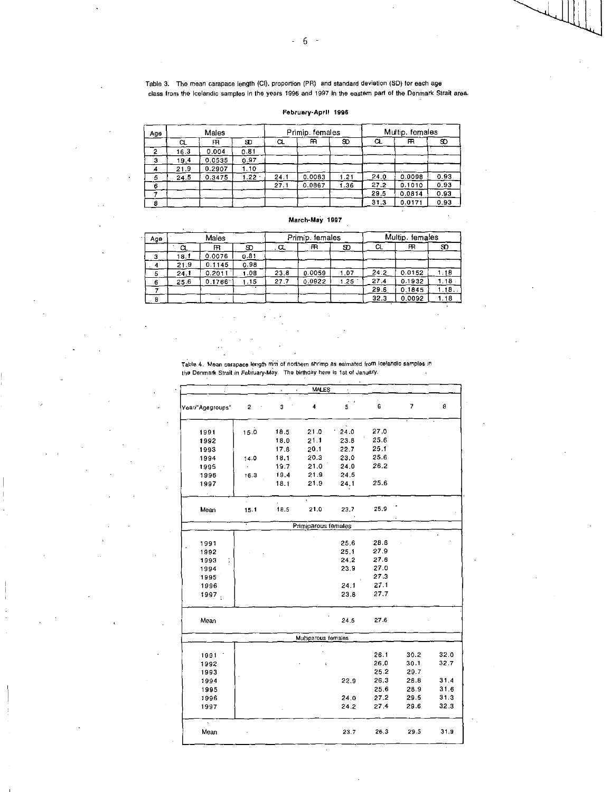$-6 -$ 

Table 3. The mean carapace length (CI). proportion (PR) and standard deviation (SD) for each age class from the Icelandic samples in the years 1996 and 1997 in the eastern part of the Denmark Strait area.

# February-April 1996

| Age | Males |        |          | Primip. females |        |      | Multip. females |        |      |
|-----|-------|--------|----------|-----------------|--------|------|-----------------|--------|------|
|     | α     | m      | SD.      | α               | m      | 9D   | α               | m.     | SD.  |
| ۰   | 16.3  | 0.004  | 0.81     |                 |        |      |                 |        |      |
|     | 19.4  | 0.0535 | 0.97     |                 |        |      |                 |        |      |
| л   | 21.9  | 0.2907 | .10      |                 |        |      |                 |        |      |
| 5   | 24.5  | 0.3475 | $1.22 -$ | 24.1            | 0.0083 | 1.21 | 24.0            | 0.0098 | 0.93 |
| в   |       |        |          | 27.1            | 0.0867 | 1.36 | 27.2            | 0.1010 | 0.93 |
|     |       |        |          |                 |        |      | 29.5            | 0.0814 | 0.93 |
|     |       |        |          |                 |        |      | 31.3            | 0.0171 | 0.93 |

### March-May 1997

 $\ddot{\phantom{a}}$ 

| Age | Males |        |        |      | Primip. females |      |      | Multip. females |      |  |
|-----|-------|--------|--------|------|-----------------|------|------|-----------------|------|--|
|     |       | m      | ை      | . a  | m               | œ    | CL.  | m               | SD.  |  |
| з   | 18.1  | 0.0076 | 0.81   |      |                 |      |      |                 |      |  |
|     | 21.9  | 0.1145 | 0.98   |      |                 |      |      |                 |      |  |
|     | 24.1  | 0.2011 | I .OB  | 23.8 | 0.0059          | 1.07 | 24.2 | 0.0152          | 1.18 |  |
| 6   | 25.6  | 0.1766 | .15    | 27.7 | 0.0922          | 1.25 | 27.4 | 0.1932          | 1.18 |  |
|     |       |        | $\sim$ |      |                 |      | 29.6 | 0.1845          | .18. |  |
|     |       |        |        |      |                 |      | 32.3 | 0.0092          | 1.18 |  |

Table 4. Mean carapace length nini of northern shrimp as eslmated from Icelandic samples in the Denmark Strait In February-May. The birthday here is 1st of January.

> $\sim$  $\sim$

|                  |      |      | <b>MALES</b>        |                            |      |      |      |
|------------------|------|------|---------------------|----------------------------|------|------|------|
| Year/ Agegroups" | 2    | 3    | 4                   | $\vec{5}$                  | 6    | 7    | ø    |
| 1991             | 15.0 | 18.5 | 21.0                | $\mathbf{v}$<br>٢.<br>24.0 | 27.0 |      |      |
| 1992             |      | 18.0 | 21.1                | 23.8                       | 25.6 |      |      |
| 1993             |      | 17.8 | 20.1                | 22.7                       | 25.1 |      |      |
| 1994             | 14.0 | 18.1 | 20.3                | 23.0                       | 25.6 |      |      |
| 1995             |      | 19.7 | 21.0                | 24.0                       | 26.2 |      |      |
| 1996             | 16.3 | 19.4 | 21.9                | 24.5                       |      |      |      |
| 1997             |      | 18.1 | 21.9                | 24.1                       | 25.6 |      |      |
| Mean             | 15.1 | 18.5 | 21.0                | 23.7                       | 25.9 |      |      |
|                  |      |      |                     |                            |      |      |      |
|                  |      |      | Primiparous females |                            |      |      |      |
| 1991             |      |      |                     | 25.6                       | 28.6 |      |      |
| 1992             |      |      |                     | 25.1                       | 27.9 |      |      |
| 1993             |      |      |                     | 24.2                       | 27.6 |      |      |
| 1994             |      |      |                     | 23.9                       | 27.0 |      |      |
| 1995             |      |      |                     |                            | 27.3 |      |      |
| 1996             |      |      |                     | 24.1                       | 27.1 |      |      |
| 1997.            |      |      |                     | 23.8                       | 27.7 |      |      |
| Mean             |      |      |                     | 24.5                       | 27.6 |      |      |
|                  |      |      | Multiparous females |                            |      |      |      |
|                  |      |      |                     |                            |      |      |      |
| 1991             |      |      |                     |                            | 26.1 | 30.2 | 32.0 |
| 1992             |      |      | $\mathbf{t}$        |                            | 26,0 | 30.1 | 32.7 |
| 1993             |      |      |                     |                            | 25.2 | 29.7 |      |
| 1994             |      |      |                     | 22.9                       | 26.3 | 28.8 | 31.4 |
| 1995             |      |      |                     |                            | 25.6 | 28.9 | 31.6 |
| 1996             |      |      |                     | 24.0                       | 27.2 | 29.5 | 31.3 |
| 1997             |      |      |                     | 24.2                       | 27.4 | 29.6 | 32.3 |
| Mean             |      |      |                     | 23.7                       | 26.3 | 29.5 | 31.9 |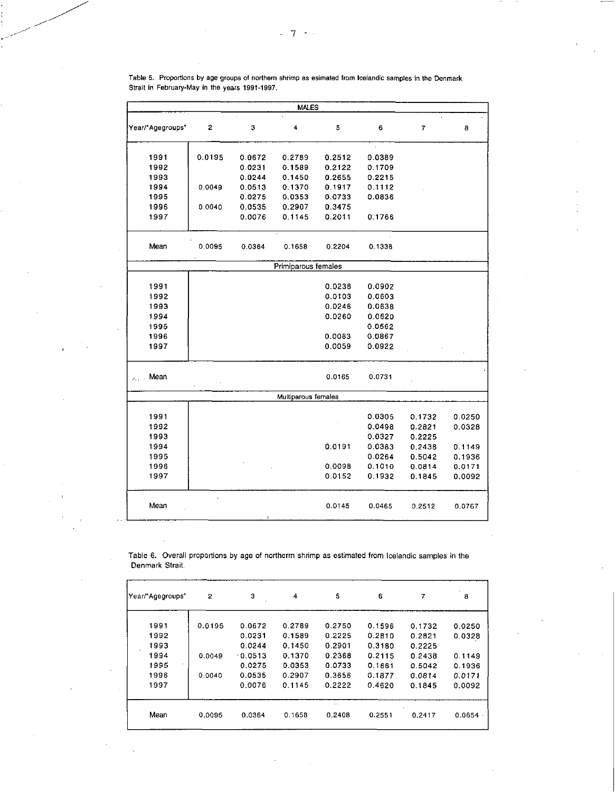|                                                 |        |        | MALES               |        |           |        |        |
|-------------------------------------------------|--------|--------|---------------------|--------|-----------|--------|--------|
| Year/"Agegroups"                                | 2      | 3      | 4                   | 5      | 6         | 7      | 8      |
| 1991                                            | 0.0195 | 0.0672 | 0.2789              | 0.2512 | 0.0389    |        |        |
| 1992                                            |        | 0.0231 | 0.1589              | 0.2122 | 0.1709    |        |        |
| 1993                                            |        | 0.0244 | 0.1450              | 0.2655 | 0.2215    |        |        |
| 1994                                            | 0.0049 | 0.0513 | 0.1370              | 0.1917 | $-0.1112$ |        |        |
| 1995                                            |        | 0.0275 | 0.0353              | 0.0733 | 0.0836    |        |        |
| 1996                                            | 0.0040 | 0.0535 | 0.2907              | 0.3475 |           |        |        |
| 1997                                            |        | 0.0076 | 0.1145              | 0.2011 | 0.1766    |        |        |
| Mean                                            | 0.0095 | 0.0364 | 0.1658              | 0.2204 | 0.1338    |        |        |
|                                                 |        |        | Primiparous females |        | ×         |        |        |
|                                                 |        |        |                     |        |           |        |        |
| 1991                                            |        |        |                     | 0.0238 | 0.0902    |        |        |
| 1992                                            |        |        |                     | 0.0103 | 0.0603    |        |        |
| 1993                                            |        |        |                     | 0.0246 | 0.0638    |        |        |
| 1994                                            |        |        |                     | 0.0260 | 0.0620    |        |        |
| 1995                                            |        |        |                     |        | 0.0562    |        |        |
| 1996                                            |        |        |                     | 0.0083 | 0.0867    |        |        |
| 1997                                            |        |        |                     | 0.0059 | 0.0922    |        |        |
| Mean<br>$\mathcal{S}_{\mathcal{A},\mathcal{A}}$ |        |        |                     | 0.0165 | 0.0731    |        |        |
|                                                 | à.     |        | Multiparous females |        |           |        |        |
| 1991                                            |        |        |                     |        | 0.0305    | 0.1732 | 0.0250 |
| 1992                                            |        |        |                     |        | 0.0498    | 0.2821 | 0.0328 |
| 1993                                            |        |        |                     |        | 0.0327    | 0.2225 |        |
| 1994                                            |        |        |                     | 0.0191 | 0.0383    | 0.2438 | 0.1149 |
| 1995                                            |        |        |                     |        | 0.0264    | 0.5042 | 0.1936 |
| 1996                                            |        |        |                     | 0.0098 | 0.1010    | 0.0814 | 0.0171 |
| 1997                                            |        |        |                     | 0.0152 | 0.1932    | 0.1845 | 0.0092 |
| Mean                                            |        |        |                     | 0.0145 | 0.0465    | 0.2512 | 0.0767 |

Table 5. Proportions by age groups of northern shrimp as esimated from Icelandic samples in the Denmark Strait in February-May in the years 1991-1997.

Table 6. Overall proportions by age of northerrn shrimp as estimated from Icelandic samples in the Denmark Strait.

| Year/"Agegroups" | 2      | 3         | 4      | 5      | 6      | 7      | 8      |
|------------------|--------|-----------|--------|--------|--------|--------|--------|
| 1991             | 0.0195 | 0.0672    | 0.2789 | 0.2750 | 0.1596 | 0.1732 | 0.0250 |
| 1992             |        | 0.0231    | 0.1589 | 0.2225 | 0.2810 | 0.2821 | 0.0328 |
| 1993             |        | 0.0244    | 0.1450 | 0.2901 | 0.3180 | 0.2225 |        |
| 1994             | 0.0049 | $-0.0513$ | 0.1370 | 0.2368 | 0.2115 | 0.2438 | 0.1149 |
| 1995             |        | 0.0275    | 0.0353 | 0.0733 | 0.1661 | 0.5042 | 0.1936 |
| 1996             | 0.0040 | 0.0535    | 0.2907 | 0.3656 | 0.1877 | 0.0814 | 0.0171 |
| 1997             |        | 0.0076    | 0.1145 | 0.2222 | 0.4620 | 0.1845 | 0.0092 |
| Mean             | 0.0095 | 0.0364    | 0.1658 | 0.2408 | 0.2551 | 0.2417 | 0.0654 |